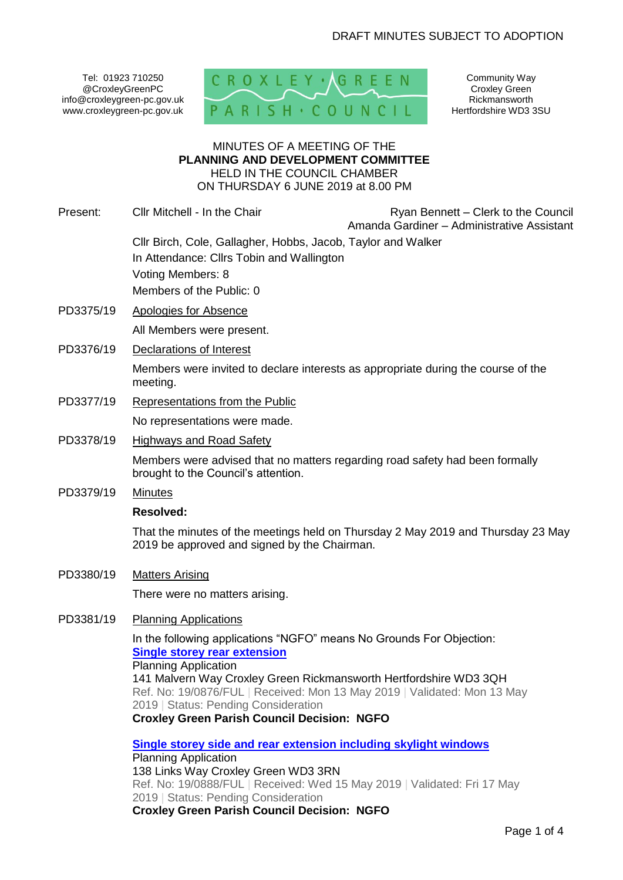Tel: 01923 710250 @CroxleyGreenPC info@croxleygreen-pc.gov.uk www.croxleygreen-pc.gov.uk



Community Way Croxley Green Rickmansworth Hertfordshire WD3 3SU

### MINUTES OF A MEETING OF THE **PLANNING AND DEVELOPMENT COMMITTEE** HELD IN THE COUNCIL CHAMBER ON THURSDAY 6 JUNE 2019 at 8.00 PM

| Present:  | Cllr Mitchell - In the Chair                                                                                                                  | Ryan Bennett – Clerk to the Council<br>Amanda Gardiner - Administrative Assistant |  |
|-----------|-----------------------------------------------------------------------------------------------------------------------------------------------|-----------------------------------------------------------------------------------|--|
|           | Cllr Birch, Cole, Gallagher, Hobbs, Jacob, Taylor and Walker                                                                                  |                                                                                   |  |
|           | In Attendance: Clirs Tobin and Wallington                                                                                                     |                                                                                   |  |
|           | Voting Members: 8                                                                                                                             |                                                                                   |  |
|           | Members of the Public: 0                                                                                                                      |                                                                                   |  |
| PD3375/19 | <b>Apologies for Absence</b>                                                                                                                  |                                                                                   |  |
|           | All Members were present.                                                                                                                     |                                                                                   |  |
| PD3376/19 | Declarations of Interest                                                                                                                      |                                                                                   |  |
|           | Members were invited to declare interests as appropriate during the course of the<br>meeting.                                                 |                                                                                   |  |
| PD3377/19 | <b>Representations from the Public</b>                                                                                                        |                                                                                   |  |
|           | No representations were made.                                                                                                                 |                                                                                   |  |
| PD3378/19 | <b>Highways and Road Safety</b>                                                                                                               |                                                                                   |  |
|           | Members were advised that no matters regarding road safety had been formally<br>brought to the Council's attention.                           |                                                                                   |  |
| PD3379/19 | <b>Minutes</b>                                                                                                                                |                                                                                   |  |
|           | <b>Resolved:</b>                                                                                                                              |                                                                                   |  |
|           | 2019 be approved and signed by the Chairman.                                                                                                  | That the minutes of the meetings held on Thursday 2 May 2019 and Thursday 23 May  |  |
| PD3380/19 | <b>Matters Arising</b>                                                                                                                        |                                                                                   |  |
|           | There were no matters arising.                                                                                                                |                                                                                   |  |
| PD3381/19 | <b>Planning Applications</b>                                                                                                                  |                                                                                   |  |
|           | In the following applications "NGFO" means No Grounds For Objection:                                                                          |                                                                                   |  |
|           | <b>Single storey rear extension</b>                                                                                                           |                                                                                   |  |
|           | <b>Planning Application</b>                                                                                                                   |                                                                                   |  |
|           | 141 Malvern Way Croxley Green Rickmansworth Hertfordshire WD3 3QH<br>Ref. No: 19/0876/FUL   Received: Mon 13 May 2019   Validated: Mon 13 May |                                                                                   |  |
|           | 2019   Status: Pending Consideration                                                                                                          |                                                                                   |  |
|           | <b>Croxley Green Parish Council Decision: NGFO</b>                                                                                            |                                                                                   |  |
|           | Single storey side and rear extension including skylight windows                                                                              |                                                                                   |  |
|           | <b>Planning Application</b>                                                                                                                   |                                                                                   |  |
|           | 138 Links Way Croxley Green WD3 3RN                                                                                                           |                                                                                   |  |

Ref. No: 19/0888/FUL | Received: Wed 15 May 2019 | Validated: Fri 17 May 2019 | Status: Pending Consideration **Croxley Green Parish Council Decision: NGFO**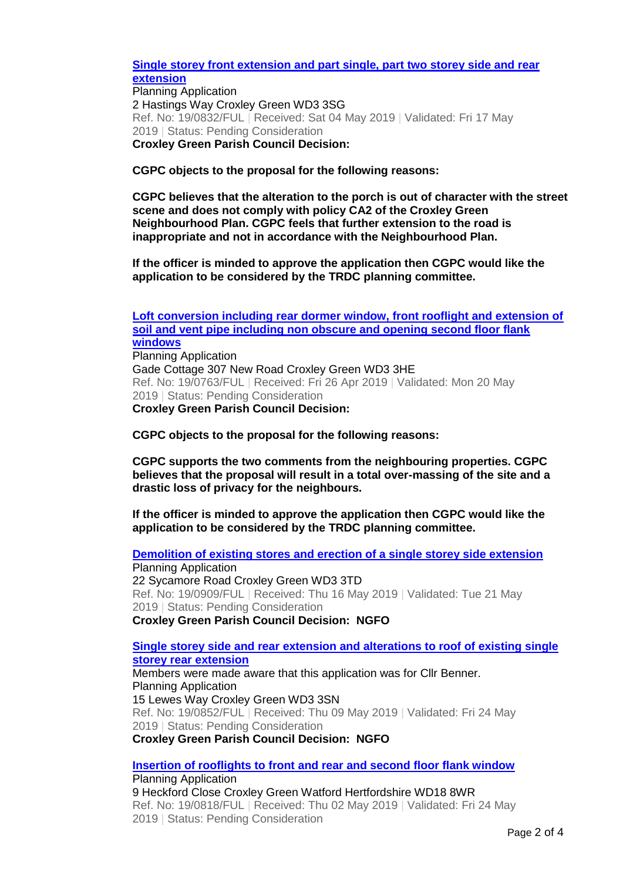### **[Single storey front extension and part single, part two storey side and rear](http://www3.threerivers.gov.uk/online-applications/applicationDetails.do?activeTab=summary&keyVal=PQYWS7QFN2600&prevPage=inTray)  [extension](http://www3.threerivers.gov.uk/online-applications/applicationDetails.do?activeTab=summary&keyVal=PQYWS7QFN2600&prevPage=inTray)**

Planning Application 2 Hastings Way Croxley Green WD3 3SG Ref. No: 19/0832/FUL | Received: Sat 04 May 2019 | Validated: Fri 17 May 2019 | Status: Pending Consideration **Croxley Green Parish Council Decision:** 

### **CGPC objects to the proposal for the following reasons:**

**CGPC believes that the alteration to the porch is out of character with the street scene and does not comply with policy CA2 of the Croxley Green Neighbourhood Plan. CGPC feels that further extension to the road is inappropriate and not in accordance with the Neighbourhood Plan.** 

**If the officer is minded to approve the application then CGPC would like the application to be considered by the TRDC planning committee.**

**[Loft conversion including rear dormer window, front rooflight and extension of](http://www3.threerivers.gov.uk/online-applications/applicationDetails.do?activeTab=summary&keyVal=PQK3IKQFMYQ00&prevPage=inTray)  [soil and vent pipe including non obscure and opening second floor flank](http://www3.threerivers.gov.uk/online-applications/applicationDetails.do?activeTab=summary&keyVal=PQK3IKQFMYQ00&prevPage=inTray)  [windows](http://www3.threerivers.gov.uk/online-applications/applicationDetails.do?activeTab=summary&keyVal=PQK3IKQFMYQ00&prevPage=inTray)** Planning Application Gade Cottage 307 New Road Croxley Green WD3 3HE Ref. No: 19/0763/FUL | Received: Fri 26 Apr 2019 | Validated: Mon 20 May 2019 | Status: Pending Consideration **Croxley Green Parish Council Decision:** 

### **CGPC objects to the proposal for the following reasons:**

**CGPC supports the two comments from the neighbouring properties. CGPC believes that the proposal will result in a total over-massing of the site and a drastic loss of privacy for the neighbours.** 

**If the officer is minded to approve the application then CGPC would like the application to be considered by the TRDC planning committee.**

**[Demolition of existing stores and erection of a single storey side extension](http://www3.threerivers.gov.uk/online-applications/applicationDetails.do?activeTab=summary&keyVal=PRLG74QFFGH00&prevPage=inTray)** Planning Application 22 Sycamore Road Croxley Green WD3 3TD Ref. No: 19/0909/FUL | Received: Thu 16 May 2019 | Validated: Tue 21 May 2019 | Status: Pending Consideration **Croxley Green Parish Council Decision: NGFO**

### **[Single storey side and rear extension and alterations to roof of existing single](http://www3.threerivers.gov.uk/online-applications/applicationDetails.do?activeTab=summary&keyVal=PR8674QFN3K00&prevPage=inTray)  [storey rear extension](http://www3.threerivers.gov.uk/online-applications/applicationDetails.do?activeTab=summary&keyVal=PR8674QFN3K00&prevPage=inTray)**

Members were made aware that this application was for Cllr Benner. Planning Application 15 Lewes Way Croxley Green WD3 3SN Ref. No: 19/0852/FUL | Received: Thu 09 May 2019 | Validated: Fri 24 May 2019 | Status: Pending Consideration **Croxley Green Parish Council Decision: NGFO**

# **[Insertion of rooflights to front and rear and second floor flank window](http://www3.threerivers.gov.uk/online-applications/applicationDetails.do?activeTab=summary&keyVal=PQVSR9QF03N00&prevPage=inTray)**

Planning Application 9 Heckford Close Croxley Green Watford Hertfordshire WD18 8WR Ref. No: 19/0818/FUL | Received: Thu 02 May 2019 | Validated: Fri 24 May 2019 | Status: Pending Consideration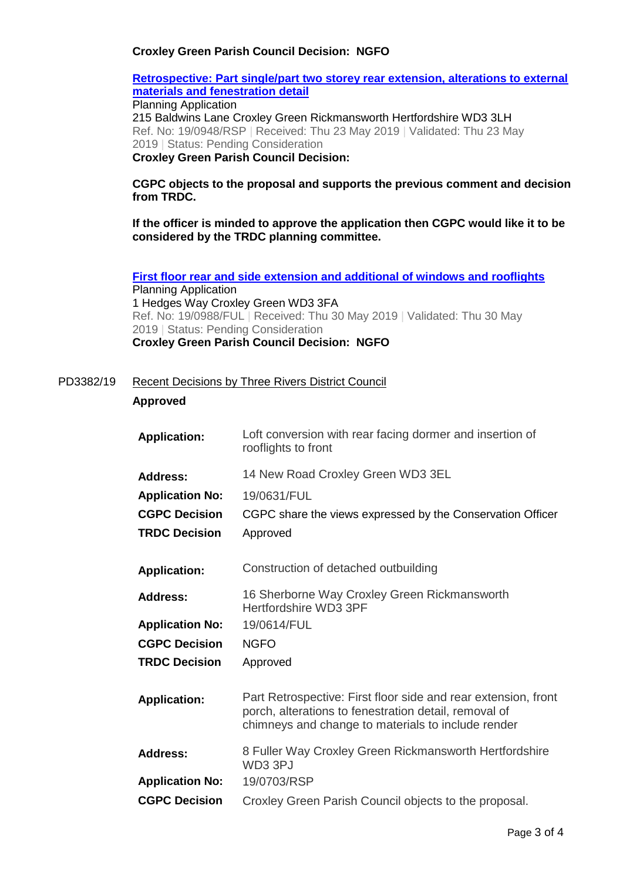### **Croxley Green Parish Council Decision: NGFO**

### **[Retrospective: Part single/part two storey rear extension, alterations to external](http://www3.threerivers.gov.uk/online-applications/applicationDetails.do?activeTab=summary&keyVal=PRY3KJQFFIG00&prevPage=inTray)  [materials and fenestration detail](http://www3.threerivers.gov.uk/online-applications/applicationDetails.do?activeTab=summary&keyVal=PRY3KJQFFIG00&prevPage=inTray)**

Planning Application 215 Baldwins Lane Croxley Green Rickmansworth Hertfordshire WD3 3LH Ref. No: 19/0948/RSP | Received: Thu 23 May 2019 | Validated: Thu 23 May 2019 | Status: Pending Consideration

# **Croxley Green Parish Council Decision:**

**CGPC objects to the proposal and supports the previous comment and decision from TRDC.** 

**If the officer is minded to approve the application then CGPC would like it to be considered by the TRDC planning committee.**

**[First floor rear and side extension and additional of windows and rooflights](http://www3.threerivers.gov.uk/online-applications/applicationDetails.do?activeTab=summary&keyVal=PSBDA8QFFKP00&prevPage=inTray)** Planning Application 1 Hedges Way Croxley Green WD3 3FA Ref. No: 19/0988/FUL | Received: Thu 30 May 2019 | Validated: Thu 30 May 2019 | Status: Pending Consideration **Croxley Green Parish Council Decision: NGFO**

#### PD3382/19 Recent Decisions by Three Rivers District Council

### **Approved**

| <b>Application:</b>    | Loft conversion with rear facing dormer and insertion of<br>rooflights to front                                                                                               |
|------------------------|-------------------------------------------------------------------------------------------------------------------------------------------------------------------------------|
| <b>Address:</b>        | 14 New Road Croxley Green WD3 3EL                                                                                                                                             |
| <b>Application No:</b> | 19/0631/FUL                                                                                                                                                                   |
| <b>CGPC Decision</b>   | CGPC share the views expressed by the Conservation Officer                                                                                                                    |
| <b>TRDC Decision</b>   | Approved                                                                                                                                                                      |
| <b>Application:</b>    | Construction of detached outbuilding                                                                                                                                          |
| <b>Address:</b>        | 16 Sherborne Way Croxley Green Rickmansworth<br>Hertfordshire WD3 3PF                                                                                                         |
| <b>Application No:</b> | 19/0614/FUL                                                                                                                                                                   |
| <b>CGPC Decision</b>   | <b>NGFO</b>                                                                                                                                                                   |
| <b>TRDC Decision</b>   | Approved                                                                                                                                                                      |
| <b>Application:</b>    | Part Retrospective: First floor side and rear extension, front<br>porch, alterations to fenestration detail, removal of<br>chimneys and change to materials to include render |
| <b>Address:</b>        | 8 Fuller Way Croxley Green Rickmansworth Hertfordshire<br>WD3 3PJ                                                                                                             |
| <b>Application No:</b> | 19/0703/RSP                                                                                                                                                                   |
| <b>CGPC Decision</b>   | Croxley Green Parish Council objects to the proposal.                                                                                                                         |